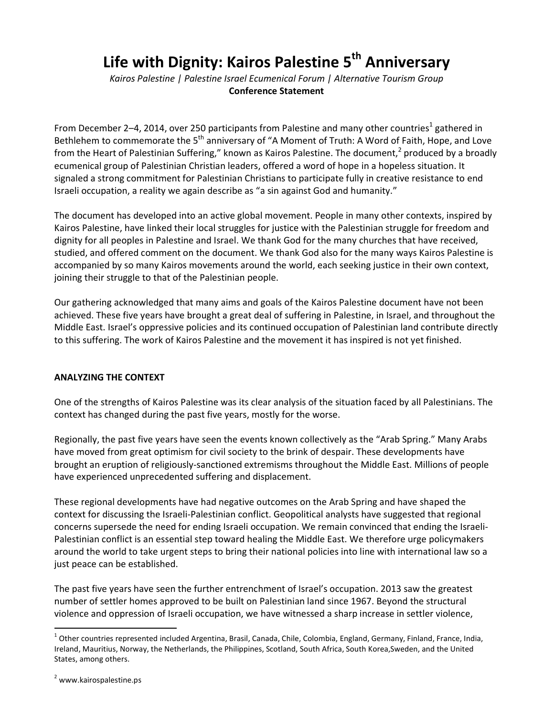# **Life with Dignity: Kairos Palestine 5th Anniversary**

*Kairos Palestine | Palestine Israel Ecumenical Forum | Alternative Tourism Group*  **Conference Statement** 

From December 2–4, 2014, over 250 participants from Palestine and many other countries<sup>1</sup> gathered in Bethlehem to commemorate the 5<sup>th</sup> anniversary of "A Moment of Truth: A Word of Faith, Hope, and Love from the Heart of Palestinian Suffering," known as Kairos Palestine. The document,<sup>2</sup> produced by a broadly ecumenical group of Palestinian Christian leaders, offered a word of hope in a hopeless situation. It signaled a strong commitment for Palestinian Christians to participate fully in creative resistance to end Israeli occupation, a reality we again describe as "a sin against God and humanity."

The document has developed into an active global movement. People in many other contexts, inspired by Kairos Palestine, have linked their local struggles for justice with the Palestinian struggle for freedom and dignity for all peoples in Palestine and Israel. We thank God for the many churches that have received, studied, and offered comment on the document. We thank God also for the many ways Kairos Palestine is accompanied by so many Kairos movements around the world, each seeking justice in their own context, joining their struggle to that of the Palestinian people.

Our gathering acknowledged that many aims and goals of the Kairos Palestine document have not been achieved. These five years have brought a great deal of suffering in Palestine, in Israel, and throughout the Middle East. Israel's oppressive policies and its continued occupation of Palestinian land contribute directly to this suffering. The work of Kairos Palestine and the movement it has inspired is not yet finished.

#### **ANALYZING THE CONTEXT**

One of the strengths of Kairos Palestine was its clear analysis of the situation faced by all Palestinians. The context has changed during the past five years, mostly for the worse.

Regionally, the past five years have seen the events known collectively as the "Arab Spring." Many Arabs have moved from great optimism for civil society to the brink of despair. These developments have brought an eruption of religiously-sanctioned extremisms throughout the Middle East. Millions of people have experienced unprecedented suffering and displacement.

These regional developments have had negative outcomes on the Arab Spring and have shaped the context for discussing the Israeli-Palestinian conflict. Geopolitical analysts have suggested that regional concerns supersede the need for ending Israeli occupation. We remain convinced that ending the Israeli-Palestinian conflict is an essential step toward healing the Middle East. We therefore urge policymakers around the world to take urgent steps to bring their national policies into line with international law so a just peace can be established.

The past five years have seen the further entrenchment of Israel's occupation. 2013 saw the greatest number of settler homes approved to be built on Palestinian land since 1967. Beyond the structural violence and oppression of Israeli occupation, we have witnessed a sharp increase in settler violence,

-

<sup>&</sup>lt;sup>1</sup> Other countries represented included Argentina, Brasil, Canada, Chile, Colombia, England, Germany, Finland, France, India, Ireland, Mauritius, Norway, the Netherlands, the Philippines, Scotland, South Africa, South Korea,Sweden, and the United States, among others.

<sup>&</sup>lt;sup>2</sup> www.kairospalestine.ps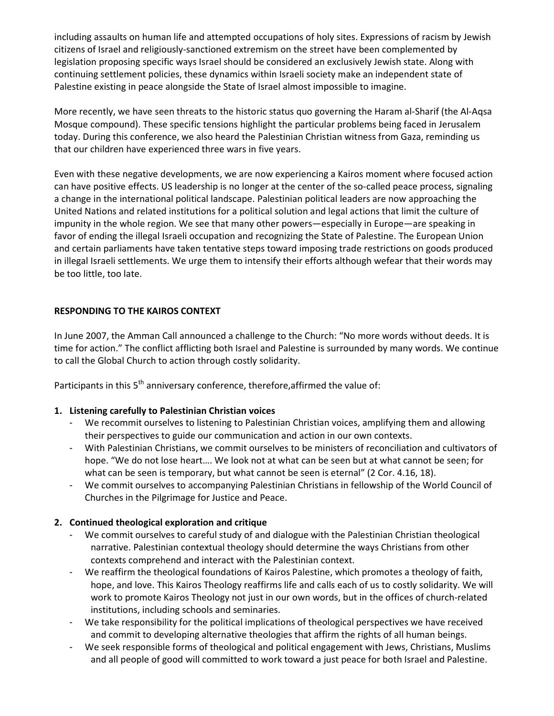including assaults on human life and attempted occupations of holy sites. Expressions of racism by Jewish citizens of Israel and religiously-sanctioned extremism on the street have been complemented by legislation proposing specific ways Israel should be considered an exclusively Jewish state. Along with continuing settlement policies, these dynamics within Israeli society make an independent state of Palestine existing in peace alongside the State of Israel almost impossible to imagine.

More recently, we have seen threats to the historic status quo governing the Haram al-Sharif (the Al-Aqsa Mosque compound). These specific tensions highlight the particular problems being faced in Jerusalem today. During this conference, we also heard the Palestinian Christian witness from Gaza, reminding us that our children have experienced three wars in five years.

Even with these negative developments, we are now experiencing a Kairos moment where focused action can have positive effects. US leadership is no longer at the center of the so-called peace process, signaling a change in the international political landscape. Palestinian political leaders are now approaching the United Nations and related institutions for a political solution and legal actions that limit the culture of impunity in the whole region. We see that many other powers—especially in Europe—are speaking in favor of ending the illegal Israeli occupation and recognizing the State of Palestine. The European Union and certain parliaments have taken tentative steps toward imposing trade restrictions on goods produced in illegal Israeli settlements. We urge them to intensify their efforts although wefear that their words may be too little, too late.

## **RESPONDING TO THE KAIROS CONTEXT**

In June 2007, the Amman Call announced a challenge to the Church: "No more words without deeds. It is time for action." The conflict afflicting both Israel and Palestine is surrounded by many words. We continue to call the Global Church to action through costly solidarity.

Participants in this 5<sup>th</sup> anniversary conference, therefore, affirmed the value of:

#### **1. Listening carefully to Palestinian Christian voices**

- We recommit ourselves to listening to Palestinian Christian voices, amplifying them and allowing their perspectives to guide our communication and action in our own contexts.
- With Palestinian Christians, we commit ourselves to be ministers of reconciliation and cultivators of hope. "We do not lose heart…. We look not at what can be seen but at what cannot be seen; for what can be seen is temporary, but what cannot be seen is eternal" (2 Cor. 4.16, 18).
- We commit ourselves to accompanying Palestinian Christians in fellowship of the World Council of Churches in the Pilgrimage for Justice and Peace.

#### **2. Continued theological exploration and critique**

- We commit ourselves to careful study of and dialogue with the Palestinian Christian theological narrative. Palestinian contextual theology should determine the ways Christians from other contexts comprehend and interact with the Palestinian context.
- We reaffirm the theological foundations of Kairos Palestine, which promotes a theology of faith, hope, and love. This Kairos Theology reaffirms life and calls each of us to costly solidarity. We will work to promote Kairos Theology not just in our own words, but in the offices of church-related institutions, including schools and seminaries.
- We take responsibility for the political implications of theological perspectives we have received and commit to developing alternative theologies that affirm the rights of all human beings.
- We seek responsible forms of theological and political engagement with Jews, Christians, Muslims and all people of good will committed to work toward a just peace for both Israel and Palestine.